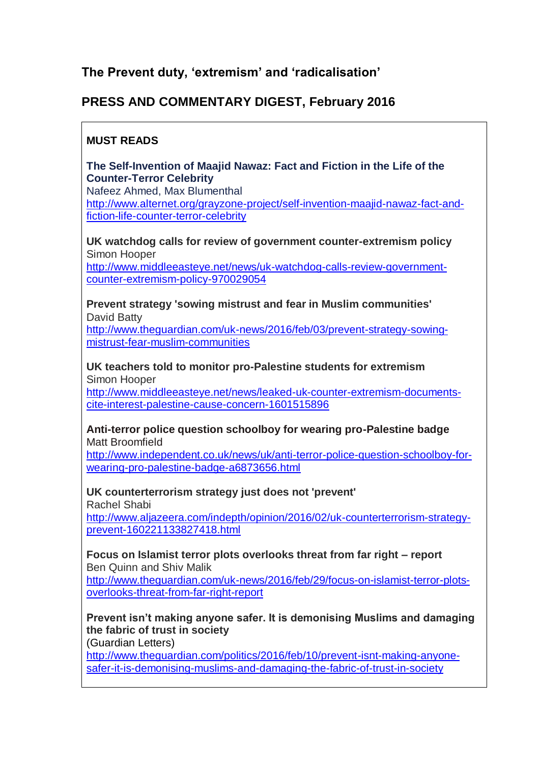# **The Prevent duty, 'extremism' and 'radicalisation'**

# **PRESS AND COMMENTARY DIGEST, February 2016**

# **MUST READS**

**The Self-Invention of Maajid Nawaz: Fact and Fiction in the Life of the Counter-Terror Celebrity**

Nafeez Ahmed, Max Blumenthal [http://www.alternet.org/grayzone-project/self-invention-maajid-nawaz-fact-and](http://www.alternet.org/grayzone-project/self-invention-maajid-nawaz-fact-and-fiction-life-counter-terror-celebrity)[fiction-life-counter-terror-celebrity](http://www.alternet.org/grayzone-project/self-invention-maajid-nawaz-fact-and-fiction-life-counter-terror-celebrity)

**UK watchdog calls for review of government counter-extremism policy** Simon Hooper

[http://www.middleeasteye.net/news/uk-watchdog-calls-review-government](http://www.middleeasteye.net/news/uk-watchdog-calls-review-government-counter-extremism-policy-970029054)[counter-extremism-policy-970029054](http://www.middleeasteye.net/news/uk-watchdog-calls-review-government-counter-extremism-policy-970029054)

**Prevent strategy 'sowing mistrust and fear in Muslim communities'** David Batty

[http://www.theguardian.com/uk-news/2016/feb/03/prevent-strategy-sowing](http://www.theguardian.com/uk-news/2016/feb/03/prevent-strategy-sowing-mistrust-fear-muslim-communities)[mistrust-fear-muslim-communities](http://www.theguardian.com/uk-news/2016/feb/03/prevent-strategy-sowing-mistrust-fear-muslim-communities)

**UK teachers told to monitor pro-Palestine students for extremism**  Simon Hooper

[http://www.middleeasteye.net/news/leaked-uk-counter-extremism-documents](http://www.middleeasteye.net/news/leaked-uk-counter-extremism-documents-cite-interest-palestine-cause-concern-1601515896)[cite-interest-palestine-cause-concern-1601515896](http://www.middleeasteye.net/news/leaked-uk-counter-extremism-documents-cite-interest-palestine-cause-concern-1601515896)

**Anti-terror police question schoolboy for wearing pro-Palestine badge** Matt Broomfield

[http://www.independent.co.uk/news/uk/anti-terror-police-question-schoolboy-for](http://www.independent.co.uk/news/uk/anti-terror-police-question-schoolboy-for-wearing-pro-palestine-badge-a6873656.html)[wearing-pro-palestine-badge-a6873656.html](http://www.independent.co.uk/news/uk/anti-terror-police-question-schoolboy-for-wearing-pro-palestine-badge-a6873656.html)

**UK counterterrorism strategy just does not 'prevent'** Rachel Shabi

[http://www.aljazeera.com/indepth/opinion/2016/02/uk-counterterrorism-strategy](http://www.aljazeera.com/indepth/opinion/2016/02/uk-counterterrorism-strategy-prevent-160221133827418.html)[prevent-160221133827418.html](http://www.aljazeera.com/indepth/opinion/2016/02/uk-counterterrorism-strategy-prevent-160221133827418.html)

**Focus on Islamist terror plots overlooks threat from far right – report** Ben Quinn and Shiv Malik [http://www.theguardian.com/uk-news/2016/feb/29/focus-on-islamist-terror-plots-](http://www.theguardian.com/uk-news/2016/feb/29/focus-on-islamist-terror-plots-overlooks-threat-from-far-right-report)

[overlooks-threat-from-far-right-report](http://www.theguardian.com/uk-news/2016/feb/29/focus-on-islamist-terror-plots-overlooks-threat-from-far-right-report)

**Prevent isn't making anyone safer. It is demonising Muslims and damaging the fabric of trust in society**

(Guardian Letters)

[http://www.theguardian.com/politics/2016/feb/10/prevent-isnt-making-anyone](http://www.theguardian.com/politics/2016/feb/10/prevent-isnt-making-anyone-safer-it-is-demonising-muslims-and-damaging-the-fabric-of-trust-in-society)[safer-it-is-demonising-muslims-and-damaging-the-fabric-of-trust-in-society](http://www.theguardian.com/politics/2016/feb/10/prevent-isnt-making-anyone-safer-it-is-demonising-muslims-and-damaging-the-fabric-of-trust-in-society)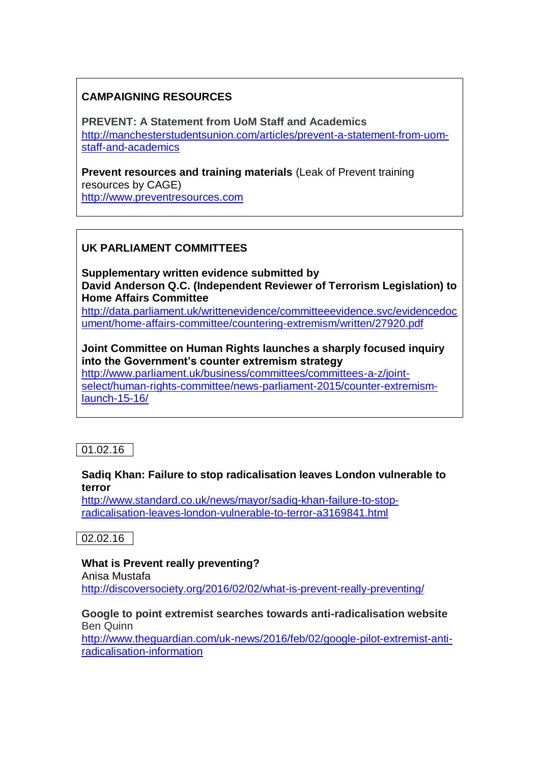#### **CAMPAIGNING RESOURCES**

**PREVENT: A Statement from UoM Staff and Academics** [http://manchesterstudentsunion.com/articles/prevent-a-statement-from-uom](http://manchesterstudentsunion.com/articles/prevent-a-statement-from-uom-staff-and-academics)[staff-and-academics](http://manchesterstudentsunion.com/articles/prevent-a-statement-from-uom-staff-and-academics)

**Prevent resources and training materials** (Leak of Prevent training resources by CAGE) [http://www.preventresources.com](http://www.preventresources.com/)

# **UK PARLIAMENT COMMITTEES**

**Supplementary written evidence submitted by David Anderson Q.C. (Independent Reviewer of Terrorism Legislation) to Home Affairs Committee** [http://data.parliament.uk/writtenevidence/committeeevidence.svc/evidencedoc](http://data.parliament.uk/writtenevidence/committeeevidence.svc/evidencedocument/home-affairs-committee/countering-extremism/written/27920.pdf)

[ument/home-affairs-committee/countering-extremism/written/27920.pdf](http://data.parliament.uk/writtenevidence/committeeevidence.svc/evidencedocument/home-affairs-committee/countering-extremism/written/27920.pdf)

**Joint Committee on Human Rights launches a sharply focused inquiry into the Government's counter extremism strategy**

[http://www.parliament.uk/business/committees/committees-a-z/joint](http://www.parliament.uk/business/committees/committees-a-z/joint-select/human-rights-committee/news-parliament-2015/counter-extremism-launch-15-16/)[select/human-rights-committee/news-parliament-2015/counter-extremism](http://www.parliament.uk/business/committees/committees-a-z/joint-select/human-rights-committee/news-parliament-2015/counter-extremism-launch-15-16/)[launch-15-16/](http://www.parliament.uk/business/committees/committees-a-z/joint-select/human-rights-committee/news-parliament-2015/counter-extremism-launch-15-16/)

01.02.16

#### **Sadiq Khan: Failure to stop radicalisation leaves London vulnerable to terror**

[http://www.standard.co.uk/news/mayor/sadiq-khan-failure-to-stop](http://www.standard.co.uk/news/mayor/sadiq-khan-failure-to-stop-radicalisation-leaves-london-vulnerable-to-terror-a3169841.html)[radicalisation-leaves-london-vulnerable-to-terror-a3169841.html](http://www.standard.co.uk/news/mayor/sadiq-khan-failure-to-stop-radicalisation-leaves-london-vulnerable-to-terror-a3169841.html)

 $02.02.16$ 

#### **What is Prevent really preventing?**

Anisa Mustafa <http://discoversociety.org/2016/02/02/what-is-prevent-really-preventing/>

#### **Google to point extremist searches towards anti-radicalisation website** Ben Quinn

[http://www.theguardian.com/uk-news/2016/feb/02/google-pilot-extremist-anti](http://www.theguardian.com/uk-news/2016/feb/02/google-pilot-extremist-anti-radicalisation-information)[radicalisation-information](http://www.theguardian.com/uk-news/2016/feb/02/google-pilot-extremist-anti-radicalisation-information)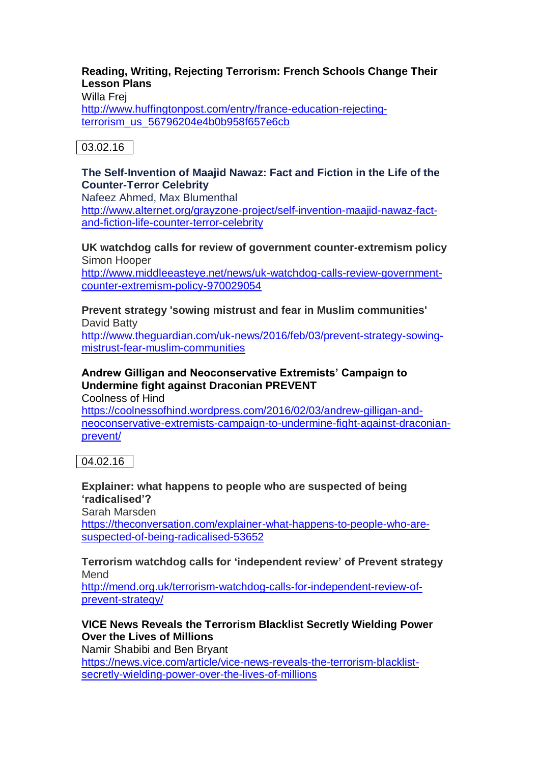# **Reading, Writing, Rejecting Terrorism: French Schools Change Their Lesson Plans**

Willa Frej

[http://www.huffingtonpost.com/entry/france-education-rejecting](http://www.huffingtonpost.com/entry/france-education-rejecting-terrorism_us_56796204e4b0b958f657e6cb)[terrorism\\_us\\_56796204e4b0b958f657e6cb](http://www.huffingtonpost.com/entry/france-education-rejecting-terrorism_us_56796204e4b0b958f657e6cb)

03.02.16

# **The Self-Invention of Maajid Nawaz: Fact and Fiction in the Life of the Counter-Terror Celebrity**

Nafeez Ahmed, Max Blumenthal

[http://www.alternet.org/grayzone-project/self-invention-maajid-nawaz-fact](http://www.alternet.org/grayzone-project/self-invention-maajid-nawaz-fact-and-fiction-life-counter-terror-celebrity)[and-fiction-life-counter-terror-celebrity](http://www.alternet.org/grayzone-project/self-invention-maajid-nawaz-fact-and-fiction-life-counter-terror-celebrity)

**UK watchdog calls for review of government counter-extremism policy** Simon Hooper

[http://www.middleeasteye.net/news/uk-watchdog-calls-review-government](http://www.middleeasteye.net/news/uk-watchdog-calls-review-government-counter-extremism-policy-970029054)[counter-extremism-policy-970029054](http://www.middleeasteye.net/news/uk-watchdog-calls-review-government-counter-extremism-policy-970029054)

**Prevent strategy 'sowing mistrust and fear in Muslim communities'** David Batty

[http://www.theguardian.com/uk-news/2016/feb/03/prevent-strategy-sowing](http://www.theguardian.com/uk-news/2016/feb/03/prevent-strategy-sowing-mistrust-fear-muslim-communities)[mistrust-fear-muslim-communities](http://www.theguardian.com/uk-news/2016/feb/03/prevent-strategy-sowing-mistrust-fear-muslim-communities)

# **Andrew Gilligan and Neoconservative Extremists' Campaign to Undermine fight against Draconian PREVENT**

Coolness of Hind

[https://coolnessofhind.wordpress.com/2016/02/03/andrew-gilligan-and](https://coolnessofhind.wordpress.com/2016/02/03/andrew-gilligan-and-neoconservative-extremists-campaign-to-undermine-fight-against-draconian-prevent/)[neoconservative-extremists-campaign-to-undermine-fight-against-draconian](https://coolnessofhind.wordpress.com/2016/02/03/andrew-gilligan-and-neoconservative-extremists-campaign-to-undermine-fight-against-draconian-prevent/)[prevent/](https://coolnessofhind.wordpress.com/2016/02/03/andrew-gilligan-and-neoconservative-extremists-campaign-to-undermine-fight-against-draconian-prevent/)

04.02.16

# **Explainer: what happens to people who are suspected of being 'radicalised'?**

Sarah Marsden [https://theconversation.com/explainer-what-happens-to-people-who-are](https://theconversation.com/explainer-what-happens-to-people-who-are-suspected-of-being-radicalised-53652)[suspected-of-being-radicalised-53652](https://theconversation.com/explainer-what-happens-to-people-who-are-suspected-of-being-radicalised-53652)

#### **Terrorism watchdog calls for 'independent review' of Prevent strategy** Mend

[http://mend.org.uk/terrorism-watchdog-calls-for-independent-review-of](http://mend.org.uk/terrorism-watchdog-calls-for-independent-review-of-prevent-strategy/)[prevent-strategy/](http://mend.org.uk/terrorism-watchdog-calls-for-independent-review-of-prevent-strategy/)

# **VICE News Reveals the Terrorism Blacklist Secretly Wielding Power Over the Lives of Millions**

Namir Shabibi and Ben Bryant

[https://news.vice.com/article/vice-news-reveals-the-terrorism-blacklist](https://news.vice.com/article/vice-news-reveals-the-terrorism-blacklist-secretly-wielding-power-over-the-lives-of-millions)[secretly-wielding-power-over-the-lives-of-millions](https://news.vice.com/article/vice-news-reveals-the-terrorism-blacklist-secretly-wielding-power-over-the-lives-of-millions)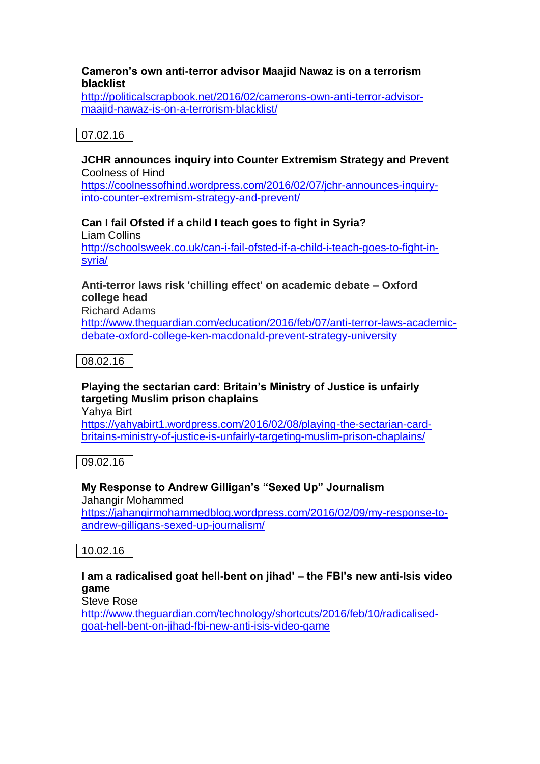#### **Cameron's own anti-terror advisor Maajid Nawaz is on a terrorism blacklist**

[http://politicalscrapbook.net/2016/02/camerons-own-anti-terror-advisor](http://politicalscrapbook.net/2016/02/camerons-own-anti-terror-advisor-maajid-nawaz-is-on-a-terrorism-blacklist/)[maajid-nawaz-is-on-a-terrorism-blacklist/](http://politicalscrapbook.net/2016/02/camerons-own-anti-terror-advisor-maajid-nawaz-is-on-a-terrorism-blacklist/)

# 07.02.16

#### **JCHR announces inquiry into Counter Extremism Strategy and Prevent** Coolness of Hind

[https://coolnessofhind.wordpress.com/2016/02/07/jchr-announces-inquiry](https://coolnessofhind.wordpress.com/2016/02/07/jchr-announces-inquiry-into-counter-extremism-strategy-and-prevent/)[into-counter-extremism-strategy-and-prevent/](https://coolnessofhind.wordpress.com/2016/02/07/jchr-announces-inquiry-into-counter-extremism-strategy-and-prevent/)

# **Can I fail Ofsted if a child I teach goes to fight in Syria?**

Liam Collins [http://schoolsweek.co.uk/can-i-fail-ofsted-if-a-child-i-teach-goes-to-fight-in](http://schoolsweek.co.uk/can-i-fail-ofsted-if-a-child-i-teach-goes-to-fight-in-syria/)[syria/](http://schoolsweek.co.uk/can-i-fail-ofsted-if-a-child-i-teach-goes-to-fight-in-syria/)

### **Anti-terror laws risk 'chilling effect' on academic debate – Oxford college head**

Richard Adams

[http://www.theguardian.com/education/2016/feb/07/anti-terror-laws-academic](http://www.theguardian.com/education/2016/feb/07/anti-terror-laws-academic-debate-oxford-college-ken-macdonald-prevent-strategy-university)[debate-oxford-college-ken-macdonald-prevent-strategy-university](http://www.theguardian.com/education/2016/feb/07/anti-terror-laws-academic-debate-oxford-college-ken-macdonald-prevent-strategy-university)

08.02.16

# **Playing the sectarian card: Britain's Ministry of Justice is unfairly targeting Muslim prison chaplains**

Yahya Birt

[https://yahyabirt1.wordpress.com/2016/02/08/playing-the-sectarian-card](https://yahyabirt1.wordpress.com/2016/02/08/playing-the-sectarian-card-britains-ministry-of-justice-is-unfairly-targeting-muslim-prison-chaplains/)[britains-ministry-of-justice-is-unfairly-targeting-muslim-prison-chaplains/](https://yahyabirt1.wordpress.com/2016/02/08/playing-the-sectarian-card-britains-ministry-of-justice-is-unfairly-targeting-muslim-prison-chaplains/)

09.02.16

# **My Response to Andrew Gilligan's "Sexed Up" Journalism**

Jahangir Mohammed

[https://jahangirmohammedblog.wordpress.com/2016/02/09/my-response-to](https://jahangirmohammedblog.wordpress.com/2016/02/09/my-response-to-andrew-gilligans-sexed-up-journalism/)[andrew-gilligans-sexed-up-journalism/](https://jahangirmohammedblog.wordpress.com/2016/02/09/my-response-to-andrew-gilligans-sexed-up-journalism/)

10.02.16

# **I am a radicalised goat hell-bent on jihad' – the FBI's new anti-Isis video game**

Steve Rose

[http://www.theguardian.com/technology/shortcuts/2016/feb/10/radicalised](http://www.theguardian.com/technology/shortcuts/2016/feb/10/radicalised-goat-hell-bent-on-jihad-fbi-new-anti-isis-video-game)[goat-hell-bent-on-jihad-fbi-new-anti-isis-video-game](http://www.theguardian.com/technology/shortcuts/2016/feb/10/radicalised-goat-hell-bent-on-jihad-fbi-new-anti-isis-video-game)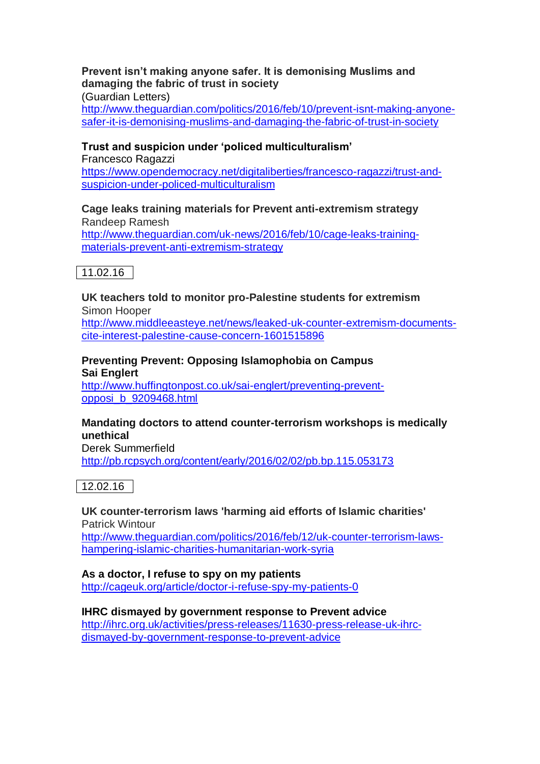# **Prevent isn't making anyone safer. It is demonising Muslims and damaging the fabric of trust in society**

(Guardian Letters)

[http://www.theguardian.com/politics/2016/feb/10/prevent-isnt-making-anyone](http://www.theguardian.com/politics/2016/feb/10/prevent-isnt-making-anyone-safer-it-is-demonising-muslims-and-damaging-the-fabric-of-trust-in-society)[safer-it-is-demonising-muslims-and-damaging-the-fabric-of-trust-in-society](http://www.theguardian.com/politics/2016/feb/10/prevent-isnt-making-anyone-safer-it-is-demonising-muslims-and-damaging-the-fabric-of-trust-in-society)

#### **Trust and suspicion under 'policed multiculturalism'**

Francesco Ragazzi [https://www.opendemocracy.net/digitaliberties/francesco-ragazzi/trust-and](https://www.opendemocracy.net/digitaliberties/francesco-ragazzi/trust-and-suspicion-under-policed-multiculturalism)[suspicion-under-policed-multiculturalism](https://www.opendemocracy.net/digitaliberties/francesco-ragazzi/trust-and-suspicion-under-policed-multiculturalism)

#### **Cage leaks training materials for Prevent anti-extremism strategy** Randeep Ramesh [http://www.theguardian.com/uk-news/2016/feb/10/cage-leaks-training-](http://www.theguardian.com/uk-news/2016/feb/10/cage-leaks-training-materials-prevent-anti-extremism-strategy)

[materials-prevent-anti-extremism-strategy](http://www.theguardian.com/uk-news/2016/feb/10/cage-leaks-training-materials-prevent-anti-extremism-strategy)

# 11.02.16

**UK teachers told to monitor pro-Palestine students for extremism**  Simon Hooper [http://www.middleeasteye.net/news/leaked-uk-counter-extremism-documents-](http://www.middleeasteye.net/news/leaked-uk-counter-extremism-documents-cite-interest-palestine-cause-concern-1601515896)

[cite-interest-palestine-cause-concern-1601515896](http://www.middleeasteye.net/news/leaked-uk-counter-extremism-documents-cite-interest-palestine-cause-concern-1601515896)

#### **Preventing Prevent: Opposing Islamophobia on Campus Sai Englert**

[http://www.huffingtonpost.co.uk/sai-englert/preventing-prevent](http://www.huffingtonpost.co.uk/sai-englert/preventing-prevent-opposi_b_9209468.html)[opposi\\_b\\_9209468.html](http://www.huffingtonpost.co.uk/sai-englert/preventing-prevent-opposi_b_9209468.html)

#### **Mandating doctors to attend counter-terrorism workshops is medically unethical**

Derek Summerfield <http://pb.rcpsych.org/content/early/2016/02/02/pb.bp.115.053173>

12.02.16

### **UK counter-terrorism laws 'harming aid efforts of Islamic charities'** Patrick Wintour [http://www.theguardian.com/politics/2016/feb/12/uk-counter-terrorism-laws-](http://www.theguardian.com/politics/2016/feb/12/uk-counter-terrorism-laws-hampering-islamic-charities-humanitarian-work-syria)

[hampering-islamic-charities-humanitarian-work-syria](http://www.theguardian.com/politics/2016/feb/12/uk-counter-terrorism-laws-hampering-islamic-charities-humanitarian-work-syria)

# **As a doctor, I refuse to spy on my patients**

<http://cageuk.org/article/doctor-i-refuse-spy-my-patients-0>

#### **IHRC dismayed by government response to Prevent advice** [http://ihrc.org.uk/activities/press-releases/11630-press-release-uk-ihrc](http://ihrc.org.uk/activities/press-releases/11630-press-release-uk-ihrc-dismayed-by-government-response-to-prevent-advice)[dismayed-by-government-response-to-prevent-advice](http://ihrc.org.uk/activities/press-releases/11630-press-release-uk-ihrc-dismayed-by-government-response-to-prevent-advice)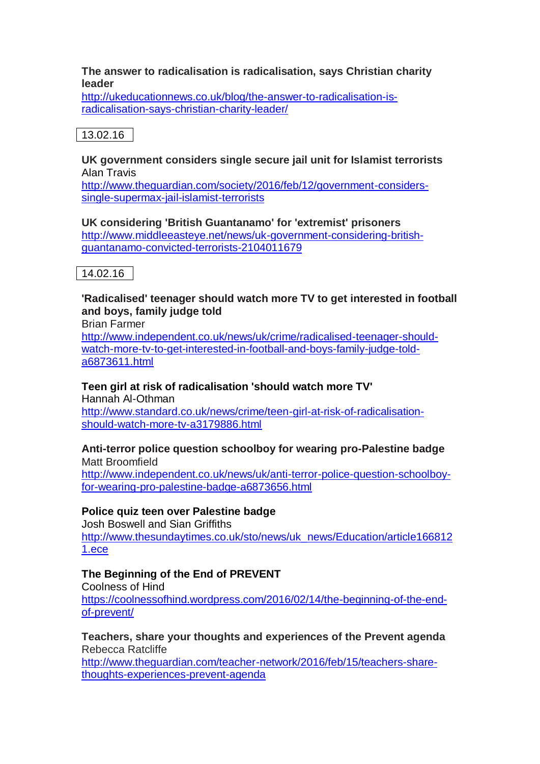#### **The answer to radicalisation is radicalisation, says Christian charity leader**

[http://ukeducationnews.co.uk/blog/the-answer-to-radicalisation-is](http://ukeducationnews.co.uk/blog/the-answer-to-radicalisation-is-radicalisation-says-christian-charity-leader/)[radicalisation-says-christian-charity-leader/](http://ukeducationnews.co.uk/blog/the-answer-to-radicalisation-is-radicalisation-says-christian-charity-leader/)

# 13.02.16

#### **UK government considers single secure jail unit for Islamist terrorists** Alan Travis

[http://www.theguardian.com/society/2016/feb/12/government-considers](http://www.theguardian.com/society/2016/feb/12/government-considers-single-supermax-jail-islamist-terrorists)[single-supermax-jail-islamist-terrorists](http://www.theguardian.com/society/2016/feb/12/government-considers-single-supermax-jail-islamist-terrorists)

**UK considering 'British Guantanamo' for 'extremist' prisoners** [http://www.middleeasteye.net/news/uk-government-considering-british](http://www.middleeasteye.net/news/uk-government-considering-british-guantanamo-convicted-terrorists-2104011679)[guantanamo-convicted-terrorists-2104011679](http://www.middleeasteye.net/news/uk-government-considering-british-guantanamo-convicted-terrorists-2104011679)

# 14.02.16

### **'Radicalised' teenager should watch more TV to get interested in football and boys, family judge told**

Brian Farmer

[http://www.independent.co.uk/news/uk/crime/radicalised-teenager-should](http://www.independent.co.uk/news/uk/crime/radicalised-teenager-should-watch-more-tv-to-get-interested-in-football-and-boys-family-judge-told-a6873611.html)[watch-more-tv-to-get-interested-in-football-and-boys-family-judge-told](http://www.independent.co.uk/news/uk/crime/radicalised-teenager-should-watch-more-tv-to-get-interested-in-football-and-boys-family-judge-told-a6873611.html)[a6873611.html](http://www.independent.co.uk/news/uk/crime/radicalised-teenager-should-watch-more-tv-to-get-interested-in-football-and-boys-family-judge-told-a6873611.html)

# **Teen girl at risk of radicalisation 'should watch more TV'**

Hannah Al-Othman [http://www.standard.co.uk/news/crime/teen-girl-at-risk-of-radicalisation](http://www.standard.co.uk/news/crime/teen-girl-at-risk-of-radicalisation-should-watch-more-tv-a3179886.html)[should-watch-more-tv-a3179886.html](http://www.standard.co.uk/news/crime/teen-girl-at-risk-of-radicalisation-should-watch-more-tv-a3179886.html)

#### **Anti-terror police question schoolboy for wearing pro-Palestine badge** Matt Broomfield

[http://www.independent.co.uk/news/uk/anti-terror-police-question-schoolboy](http://www.independent.co.uk/news/uk/anti-terror-police-question-schoolboy-for-wearing-pro-palestine-badge-a6873656.html)[for-wearing-pro-palestine-badge-a6873656.html](http://www.independent.co.uk/news/uk/anti-terror-police-question-schoolboy-for-wearing-pro-palestine-badge-a6873656.html)

# **Police quiz teen over Palestine badge**

Josh Boswell and Sian Griffiths [http://www.thesundaytimes.co.uk/sto/news/uk\\_news/Education/article166812](http://www.thesundaytimes.co.uk/sto/news/uk_news/Education/article1668121.ece) [1.ece](http://www.thesundaytimes.co.uk/sto/news/uk_news/Education/article1668121.ece)

# **The Beginning of the End of PREVENT**

Coolness of Hind [https://coolnessofhind.wordpress.com/2016/02/14/the-beginning-of-the-end](https://coolnessofhind.wordpress.com/2016/02/14/the-beginning-of-the-end-of-prevent/)[of-prevent/](https://coolnessofhind.wordpress.com/2016/02/14/the-beginning-of-the-end-of-prevent/)

**Teachers, share your thoughts and experiences of the Prevent agenda** Rebecca Ratcliffe

[http://www.theguardian.com/teacher-network/2016/feb/15/teachers-share](http://www.theguardian.com/teacher-network/2016/feb/15/teachers-share-thoughts-experiences-prevent-agenda)[thoughts-experiences-prevent-agenda](http://www.theguardian.com/teacher-network/2016/feb/15/teachers-share-thoughts-experiences-prevent-agenda)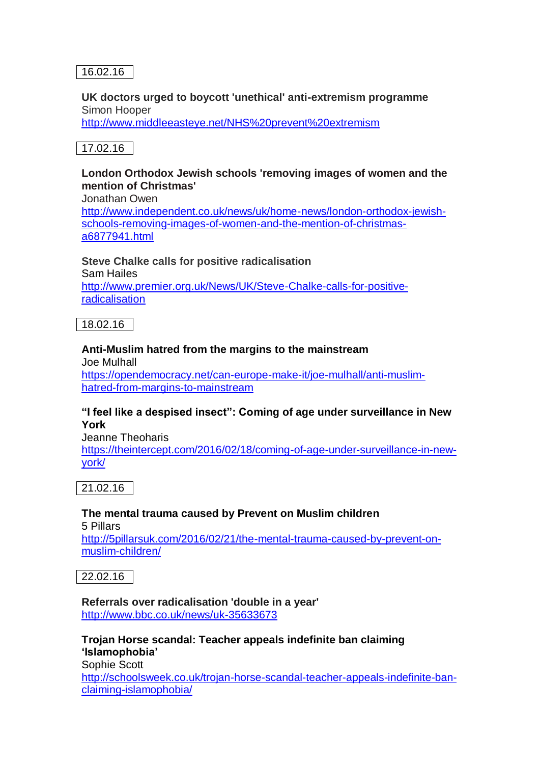# 16.02.16

#### **UK doctors urged to boycott 'unethical' anti-extremism programme**  Simon Hooper

<http://www.middleeasteye.net/NHS%20prevent%20extremism>

# 17.02.16

# **London Orthodox Jewish schools 'removing images of women and the mention of Christmas'**

Jonathan Owen

[http://www.independent.co.uk/news/uk/home-news/london-orthodox-jewish](http://www.independent.co.uk/news/uk/home-news/london-orthodox-jewish-schools-removing-images-of-women-and-the-mention-of-christmas-a6877941.html)[schools-removing-images-of-women-and-the-mention-of-christmas](http://www.independent.co.uk/news/uk/home-news/london-orthodox-jewish-schools-removing-images-of-women-and-the-mention-of-christmas-a6877941.html)[a6877941.html](http://www.independent.co.uk/news/uk/home-news/london-orthodox-jewish-schools-removing-images-of-women-and-the-mention-of-christmas-a6877941.html)

**Steve Chalke calls for positive radicalisation** Sam Hailes [http://www.premier.org.uk/News/UK/Steve-Chalke-calls-for-positive](http://www.premier.org.uk/News/UK/Steve-Chalke-calls-for-positive-radicalisation)[radicalisation](http://www.premier.org.uk/News/UK/Steve-Chalke-calls-for-positive-radicalisation)

18.02.16

# **Anti-Muslim hatred from the margins to the mainstream**

Joe Mulhall [https://opendemocracy.net/can-europe-make-it/joe-mulhall/anti-muslim](https://opendemocracy.net/can-europe-make-it/joe-mulhall/anti-muslim-hatred-from-margins-to-mainstream)[hatred-from-margins-to-mainstream](https://opendemocracy.net/can-europe-make-it/joe-mulhall/anti-muslim-hatred-from-margins-to-mainstream)

#### **"I feel like a despised insect": Coming of age under surveillance in New York**

Jeanne Theoharis

[https://theintercept.com/2016/02/18/coming-of-age-under-surveillance-in-new](https://theintercept.com/2016/02/18/coming-of-age-under-surveillance-in-new-york/)[york/](https://theintercept.com/2016/02/18/coming-of-age-under-surveillance-in-new-york/)

21.02.16

# **The mental trauma caused by Prevent on Muslim children**

5 Pillars

[http://5pillarsuk.com/2016/02/21/the-mental-trauma-caused-by-prevent-on](http://5pillarsuk.com/2016/02/21/the-mental-trauma-caused-by-prevent-on-muslim-children/)[muslim-children/](http://5pillarsuk.com/2016/02/21/the-mental-trauma-caused-by-prevent-on-muslim-children/)

22.02.16

**Referrals over radicalisation 'double in a year'** <http://www.bbc.co.uk/news/uk-35633673>

#### **Trojan Horse scandal: Teacher appeals indefinite ban claiming 'Islamophobia'** Sophie Scott

[http://schoolsweek.co.uk/trojan-horse-scandal-teacher-appeals-indefinite-ban](http://schoolsweek.co.uk/trojan-horse-scandal-teacher-appeals-indefinite-ban-claiming-islamophobia/)[claiming-islamophobia/](http://schoolsweek.co.uk/trojan-horse-scandal-teacher-appeals-indefinite-ban-claiming-islamophobia/)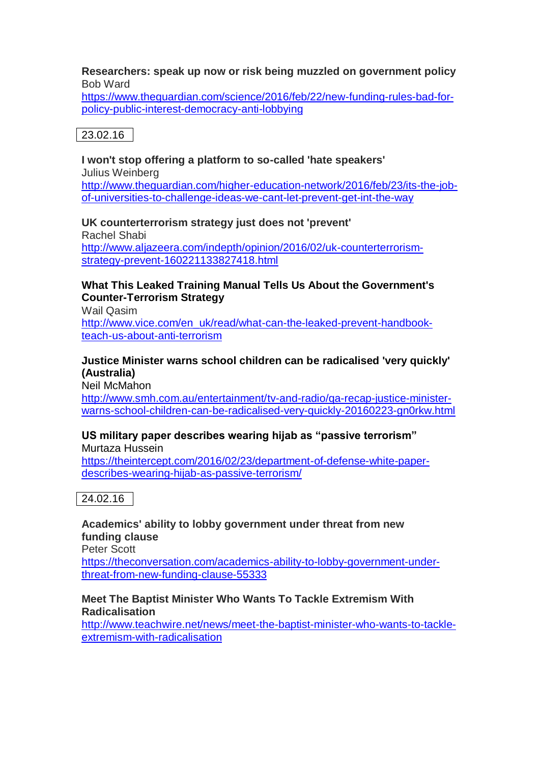# **Researchers: speak up now or risk being muzzled on government policy** Bob Ward

[https://www.theguardian.com/science/2016/feb/22/new-funding-rules-bad-for](https://www.theguardian.com/science/2016/feb/22/new-funding-rules-bad-for-policy-public-interest-democracy-anti-lobbying)[policy-public-interest-democracy-anti-lobbying](https://www.theguardian.com/science/2016/feb/22/new-funding-rules-bad-for-policy-public-interest-democracy-anti-lobbying)

23.02.16

#### **I won't stop offering a platform to so-called 'hate speakers'** Julius Weinberg

[http://www.theguardian.com/higher-education-network/2016/feb/23/its-the-job](http://www.theguardian.com/higher-education-network/2016/feb/23/its-the-job-of-universities-to-challenge-ideas-we-cant-let-prevent-get-int-the-way)[of-universities-to-challenge-ideas-we-cant-let-prevent-get-int-the-way](http://www.theguardian.com/higher-education-network/2016/feb/23/its-the-job-of-universities-to-challenge-ideas-we-cant-let-prevent-get-int-the-way)

#### **UK counterterrorism strategy just does not 'prevent'**

Rachel Shabi [http://www.aljazeera.com/indepth/opinion/2016/02/uk-counterterrorism](http://www.aljazeera.com/indepth/opinion/2016/02/uk-counterterrorism-strategy-prevent-160221133827418.html)[strategy-prevent-160221133827418.html](http://www.aljazeera.com/indepth/opinion/2016/02/uk-counterterrorism-strategy-prevent-160221133827418.html)

#### **What This Leaked Training Manual Tells Us About the Government's Counter-Terrorism Strategy**

Wail Qasim [http://www.vice.com/en\\_uk/read/what-can-the-leaked-prevent-handbook](http://www.vice.com/en_uk/read/what-can-the-leaked-prevent-handbook-teach-us-about-anti-terrorism)[teach-us-about-anti-terrorism](http://www.vice.com/en_uk/read/what-can-the-leaked-prevent-handbook-teach-us-about-anti-terrorism)

#### **Justice Minister warns school children can be radicalised 'very quickly' (Australia)**

Neil McMahon [http://www.smh.com.au/entertainment/tv-and-radio/qa-recap-justice-minister](http://www.smh.com.au/entertainment/tv-and-radio/qa-recap-justice-minister-warns-school-children-can-be-radicalised-very-quickly-20160223-gn0rkw.html)[warns-school-children-can-be-radicalised-very-quickly-20160223-gn0rkw.html](http://www.smh.com.au/entertainment/tv-and-radio/qa-recap-justice-minister-warns-school-children-can-be-radicalised-very-quickly-20160223-gn0rkw.html)

#### **US military paper describes wearing hijab as "passive terrorism"** Murtaza Hussein

[https://theintercept.com/2016/02/23/department-of-defense-white-paper](https://theintercept.com/2016/02/23/department-of-defense-white-paper-describes-wearing-hijab-as-passive-terrorism/)[describes-wearing-hijab-as-passive-terrorism/](https://theintercept.com/2016/02/23/department-of-defense-white-paper-describes-wearing-hijab-as-passive-terrorism/)

24.02.16

**Academics' ability to lobby government under threat from new funding clause** Peter Scott [https://theconversation.com/academics-ability-to-lobby-government-under-](https://theconversation.com/academics-ability-to-lobby-government-under-threat-from-new-funding-clause-55333)

[threat-from-new-funding-clause-55333](https://theconversation.com/academics-ability-to-lobby-government-under-threat-from-new-funding-clause-55333)

#### **Meet The Baptist Minister Who Wants To Tackle Extremism With Radicalisation**

[http://www.teachwire.net/news/meet-the-baptist-minister-who-wants-to-tackle](http://www.teachwire.net/news/meet-the-baptist-minister-who-wants-to-tackle-extremism-with-radicalisation)[extremism-with-radicalisation](http://www.teachwire.net/news/meet-the-baptist-minister-who-wants-to-tackle-extremism-with-radicalisation)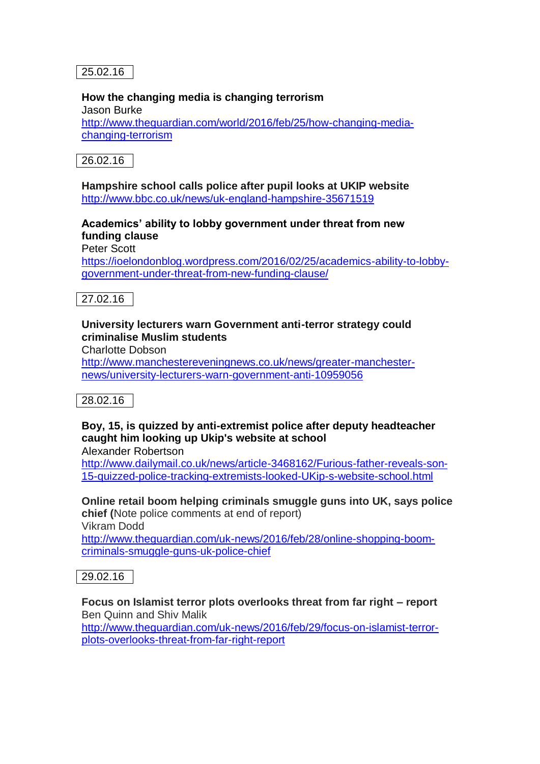25.02.16

#### **How the changing media is changing terrorism**

Jason Burke [http://www.theguardian.com/world/2016/feb/25/how-changing-media](http://www.theguardian.com/world/2016/feb/25/how-changing-media-changing-terrorism)[changing-terrorism](http://www.theguardian.com/world/2016/feb/25/how-changing-media-changing-terrorism)

26.02.16

**Hampshire school calls police after pupil looks at UKIP website** <http://www.bbc.co.uk/news/uk-england-hampshire-35671519>

# **Academics' ability to lobby government under threat from new funding clause**

Peter Scott

[https://ioelondonblog.wordpress.com/2016/02/25/academics-ability-to-lobby](https://ioelondonblog.wordpress.com/2016/02/25/academics-ability-to-lobby-government-under-threat-from-new-funding-clause/)[government-under-threat-from-new-funding-clause/](https://ioelondonblog.wordpress.com/2016/02/25/academics-ability-to-lobby-government-under-threat-from-new-funding-clause/)

27.02.16

### **University lecturers warn Government anti-terror strategy could criminalise Muslim students**

Charlotte Dobson

[http://www.manchestereveningnews.co.uk/news/greater-manchester](http://www.manchestereveningnews.co.uk/news/greater-manchester-news/university-lecturers-warn-government-anti-10959056)[news/university-lecturers-warn-government-anti-10959056](http://www.manchestereveningnews.co.uk/news/greater-manchester-news/university-lecturers-warn-government-anti-10959056)

28.02.16

# **Boy, 15, is quizzed by anti-extremist police after deputy headteacher caught him looking up Ukip's website at school**

Alexander Robertson

[http://www.dailymail.co.uk/news/article-3468162/Furious-father-reveals-son-](http://www.dailymail.co.uk/news/article-3468162/Furious-father-reveals-son-15-quizzed-police-tracking-extremists-looked-UKip-s-website-school.html)[15-quizzed-police-tracking-extremists-looked-UKip-s-website-school.html](http://www.dailymail.co.uk/news/article-3468162/Furious-father-reveals-son-15-quizzed-police-tracking-extremists-looked-UKip-s-website-school.html)

**Online retail boom helping criminals smuggle guns into UK, says police chief (**Note police comments at end of report)

Vikram Dodd

[http://www.theguardian.com/uk-news/2016/feb/28/online-shopping-boom](http://www.theguardian.com/uk-news/2016/feb/28/online-shopping-boom-criminals-smuggle-guns-uk-police-chief)[criminals-smuggle-guns-uk-police-chief](http://www.theguardian.com/uk-news/2016/feb/28/online-shopping-boom-criminals-smuggle-guns-uk-police-chief)

29.02.16

**Focus on Islamist terror plots overlooks threat from far right – report** Ben Quinn and Shiv Malik

[http://www.theguardian.com/uk-news/2016/feb/29/focus-on-islamist-terror](http://www.theguardian.com/uk-news/2016/feb/29/focus-on-islamist-terror-plots-overlooks-threat-from-far-right-report)[plots-overlooks-threat-from-far-right-report](http://www.theguardian.com/uk-news/2016/feb/29/focus-on-islamist-terror-plots-overlooks-threat-from-far-right-report)